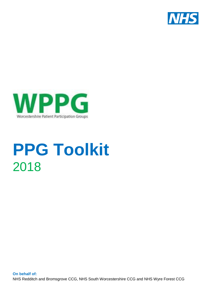



# **PPG Toolkit** 2018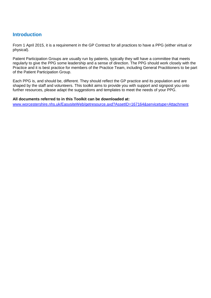# **Introduction**

From 1 April 2015, it is a requirement in the GP Contract for all practices to have a PPG (either virtual or physical).

Patient Participation Groups are usually run by patients, typically they will have a committee that meets regularly to give the PPG some leadership and a sense of direction. The PPG should work closely with the Practice and it is best practice for members of the Practice Team, including General Practitioners to be part of the Patient Participation Group.

Each PPG is, and should be, different. They should reflect the GP practice and its population and are shaped by the staff and volunteers. This toolkit aims to provide you with support and signpost you onto further resources, please adapt the suggestions and templates to meet the needs of your PPG.

#### **All documents referred to in this Toolkit can be downloaded at:**

[www.worcestershire.nhs.uk/EasysiteWeb/getresource.axd?AssetID=167164&servicetype=Attachment](http://www.worcestershire.nhs.uk/EasysiteWeb/getresource.axd?AssetID=167164&servicetype=Attachment)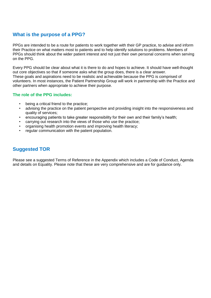## **What is the purpose of a PPG?**

PPGs are intended to be a route for patients to work together with their GP practice, to advise and inform their Practice on what matters most to patients and to help identify solutions to problems. Members of PPGs should think about the wider patient interest and not just their own personal concerns when serving on the PPG.

Every PPG should be clear about what it is there to do and hopes to achieve. It should have well-thought out core objectives so that if someone asks what the group does, there is a clear answer. These goals and aspirations need to be realistic and achievable because the PPG is comprised of volunteers. In most instances, the Patient Partnership Group will work in partnership with the Practice and other partners when appropriate to achieve their purpose.

#### **The role of the PPG includes:**

- being a critical friend to the practice:
- advising the practice on the patient perspective and providing insight into the responsiveness and quality of services;
- encouraging patients to take greater responsibility for their own and their family's health;
- carrying out research into the views of those who use the practice;
- organising health promotion events and improving health literacy;
- regular communication with the patient population.

## **Suggested TOR**

Please see a suggested Terms of Reference in the Appendix which includes a Code of Conduct, Agenda and details on Equality. Please note that these are very comprehensive and are for guidance only.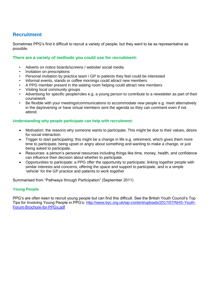# **Recruitment**

Sometimes PPG's find it difficult to recruit a variety of people, but they want to be as representative as possible.

#### **There are a variety of methods you could use for recruitment:**

- Adverts on notice boards/screens / website/ social media
- Invitation on prescriptions
- Personal invitation by practice team / GP to patients they feel could be interested
- Informal events, stands or coffee mornings could attract new members
- A PPG member present in the waiting room helping could attract new members
- Visiting local community groups
- Advertising for specific people/roles e.g. a young person to contribute to a newsletter as part of their coursework
- Be flexible with your meetings/communications to accommodate new people e.g. meet alternatively in the day/evening or have virtual members sent the agenda so they can comment even if not attend.

#### **Understanding why people participate can help with recruitment:**

- Motivation: the reasons why someone wants to participate. This might be due to their values, desire for social interaction.
- Trigger to start participating: this might be a change in life e.g. retirement, which gives them more time to participate, being upset or angry about something and wanting to make a change, or just being asked to participate.
- Resources: a person's personal resources including things like time, money, health, and confidence can influence their decision about whether to participate.
- Opportunities to participate: a PPG offer the opportunity to participate; linking together people with similar interests and concerns, offering the space and support to participate, and is a simple 'vehicle' for the GP practice and patients to work together

Summarised from "Pathways through Participation" (September 2011)

#### **Young People**

PPG's are often keen to recruit young people but can find this difficult. See the British Youth Council's Top Tips for Involving Young People in PPG's: [http://www.byc.org.uk/wp-content/uploads/2017/07/NHS-Youth-](http://www.byc.org.uk/wp-content/uploads/2017/07/NHS-Youth-Forum-Brochure-for-PPGs.pdf)[Forum-Brochure-for-PPGs.pdf](http://www.byc.org.uk/wp-content/uploads/2017/07/NHS-Youth-Forum-Brochure-for-PPGs.pdf)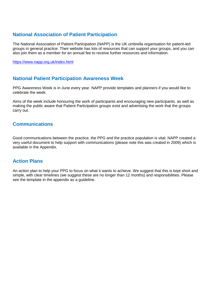# **National Association of Patient Participation**

The National Association of Patient Participation (NAPP) is the UK umbrella organisation for patient-led groups in general practice. Their website has lots of resources that can support your groups, and you can also join them as a member for an annual fee to receive further resources and information.

<https://www.napp.org.uk/index.html>

## **National Patient Participation Awareness Week**

PPG Awareness Week is in June every year. NAPP provide templates and planners if you would like to celebrate the week.

Aims of the week include honouring the work of participants and encouraging new participants. as well as making the public aware that Patient Participation groups exist and advertising the work that the groups carry out.

## **Communications**

Good communications between the practice, the PPG and the practice population is vital. NAPP created a very useful document to help support with communications (please note this was created in 2009) which is available in the Appendix.

## **Action Plans**

An action plan to help your PPG to focus on what it wants to achieve. We suggest that this is kept short and simple, with clear timelines (we suggest these are no longer than 12 months) and responsibilities. Please see the template in the appendix as a guideline.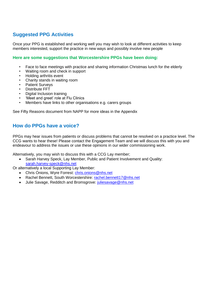# **Suggested PPG Activities**

Once your PPG is established and working well you may wish to look at different activities to keep members interested, support the practice in new ways and possibly involve new people

#### **Here are some suggestions that Worcestershire PPGs have been doing:**

- Face to face meetings with practice and sharing information Christmas lunch for the elderly
- Waiting room and check in support
- Holding arthritis event
- Charity stands in waiting room
- Patient Surveys
- Distribute FFT
- Digital Inclusion training
- 'Meet and greet' role at Flu Clinics
- Members have links to other organisations e.g. carers groups

See Fifty Reasons document from NAPP for more ideas in the Appendix

## **How do PPGs have a voice?**

PPGs may hear issues from patients or discuss problems that cannot be resolved on a practice level. The CCG wants to hear these! Please contact the Engagement Team and we will discuss this with you and endeavour to address the issues or use these opinions in our wider commissioning work.

Alternatively, you may wish to discuss this with a CCG Lay member;

• Sarah Harvey Speck, Lay Member, Public and Patient Involvement and Quality: [sarah.harvey-speck@nhs.net](mailto:sarah.harvey-speck@nhs.net)

Or alternatively a local Supporting Lay Member:

- Chris Onions, Wyre Forrest: [chris.onions@nhs.net](mailto:chris.onions@nhs.net)
- Rachel Bennett, South Worcestershire: [rachel.bennett17@nhs.net](mailto:rachel.bennett17@nhs.net)
- Julie Savage, Redditch and Bromsgrove: [juliesavage@nhs.net](mailto:juliesavage@nhs.net)